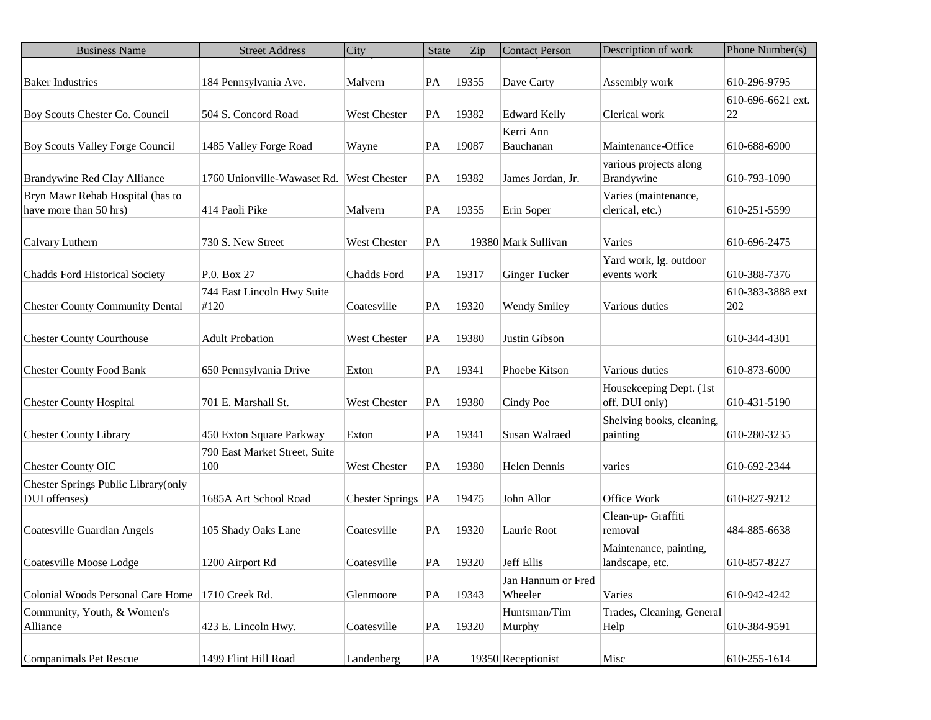| <b>Business Name</b>                               | <b>Street Address</b>         | City                 | <b>State</b> | Zip   | <b>Contact Person</b>         | Description of work           | Phone Number(s)         |
|----------------------------------------------------|-------------------------------|----------------------|--------------|-------|-------------------------------|-------------------------------|-------------------------|
|                                                    |                               |                      |              |       |                               |                               |                         |
| <b>Baker Industries</b>                            | 184 Pennsylvania Ave.         | Malvern              | PA           | 19355 | Dave Carty                    | Assembly work                 | 610-296-9795            |
| Boy Scouts Chester Co. Council                     | 504 S. Concord Road           | <b>West Chester</b>  | PA           | 19382 | <b>Edward Kelly</b>           | Clerical work                 | 610-696-6621 ext.<br>22 |
|                                                    |                               |                      |              |       | Kerri Ann                     |                               |                         |
| Boy Scouts Valley Forge Council                    | 1485 Valley Forge Road        | Wayne                | PA           | 19087 | Bauchanan                     | Maintenance-Office            | 610-688-6900            |
|                                                    |                               |                      |              |       |                               | various projects along        |                         |
| Brandywine Red Clay Alliance                       | 1760 Unionville-Wawaset Rd.   | <b>West Chester</b>  | PA           | 19382 | James Jordan, Jr.             | Brandywine                    | 610-793-1090            |
| Bryn Mawr Rehab Hospital (has to                   |                               |                      |              |       |                               | Varies (maintenance,          |                         |
| have more than 50 hrs)                             | 414 Paoli Pike                | Malvern              | PA           | 19355 | Erin Soper                    | clerical, etc.)               | 610-251-5599            |
|                                                    |                               |                      |              |       |                               |                               |                         |
| Calvary Luthern                                    | 730 S. New Street             | West Chester         | PA           |       | 19380 Mark Sullivan           | Varies                        | 610-696-2475            |
|                                                    |                               |                      |              |       |                               | Yard work, lg. outdoor        |                         |
| <b>Chadds Ford Historical Society</b>              | P.O. Box 27                   | Chadds Ford          | PA           | 19317 | <b>Ginger Tucker</b>          | events work                   | 610-388-7376            |
|                                                    | 744 East Lincoln Hwy Suite    |                      |              |       |                               |                               | 610-383-3888 ext        |
| <b>Chester County Community Dental</b>             | #120                          | Coatesville          | PA           | 19320 | <b>Wendy Smiley</b>           | Various duties                | 202                     |
|                                                    |                               |                      |              |       |                               |                               |                         |
| <b>Chester County Courthouse</b>                   | <b>Adult Probation</b>        | <b>West Chester</b>  | PA           | 19380 | Justin Gibson                 |                               | 610-344-4301            |
|                                                    |                               |                      |              |       |                               |                               |                         |
| <b>Chester County Food Bank</b>                    | 650 Pennsylvania Drive        | Exton                | PA           | 19341 | Phoebe Kitson                 | Various duties                | 610-873-6000            |
|                                                    |                               |                      |              |       |                               | Housekeeping Dept. (1st       |                         |
| <b>Chester County Hospital</b>                     | 701 E. Marshall St.           | <b>West Chester</b>  | PA           | 19380 | Cindy Poe                     | off. DUI only)                | 610-431-5190            |
|                                                    |                               |                      |              |       |                               | Shelving books, cleaning,     |                         |
| <b>Chester County Library</b>                      | 450 Exton Square Parkway      | Exton                | PA           | 19341 | Susan Walraed                 | painting                      | 610-280-3235            |
|                                                    | 790 East Market Street, Suite |                      |              |       |                               |                               |                         |
| <b>Chester County OIC</b>                          | 100                           | West Chester         | PA           | 19380 | Helen Dennis                  | varies                        | 610-692-2344            |
| Chester Springs Public Library(only                |                               |                      |              |       |                               |                               |                         |
| DUI offenses)                                      | 1685A Art School Road         | Chester Springs   PA |              | 19475 | John Allor                    | Office Work                   | 610-827-9212            |
|                                                    |                               |                      |              |       |                               |                               |                         |
| Coatesville Guardian Angels                        | 105 Shady Oaks Lane           | Coatesville          | PA           | 19320 | Laurie Root                   | Clean-up- Graffiti<br>removal | 484-885-6638            |
|                                                    |                               |                      |              |       |                               |                               |                         |
|                                                    |                               |                      |              |       |                               | Maintenance, painting,        |                         |
| Coatesville Moose Lodge                            | 1200 Airport Rd               | Coatesville          | PA           | 19320 | Jeff Ellis                    | landscape, etc.               | 610-857-8227            |
| Colonial Woods Personal Care Home   1710 Creek Rd. |                               |                      |              |       | Jan Hannum or Fred<br>Wheeler | Varies                        |                         |
|                                                    |                               | Glenmoore            | PA           | 19343 |                               |                               | 610-942-4242            |
| Community, Youth, & Women's                        |                               |                      |              |       | Huntsman/Tim                  | Trades, Cleaning, General     |                         |
| Alliance                                           | 423 E. Lincoln Hwy.           | Coatesville          | PA           | 19320 | Murphy                        | Help                          | 610-384-9591            |
|                                                    |                               |                      |              |       |                               |                               |                         |
| Companimals Pet Rescue                             | 1499 Flint Hill Road          | Landenberg           | PA           |       | 19350 Receptionist            | Misc                          | 610-255-1614            |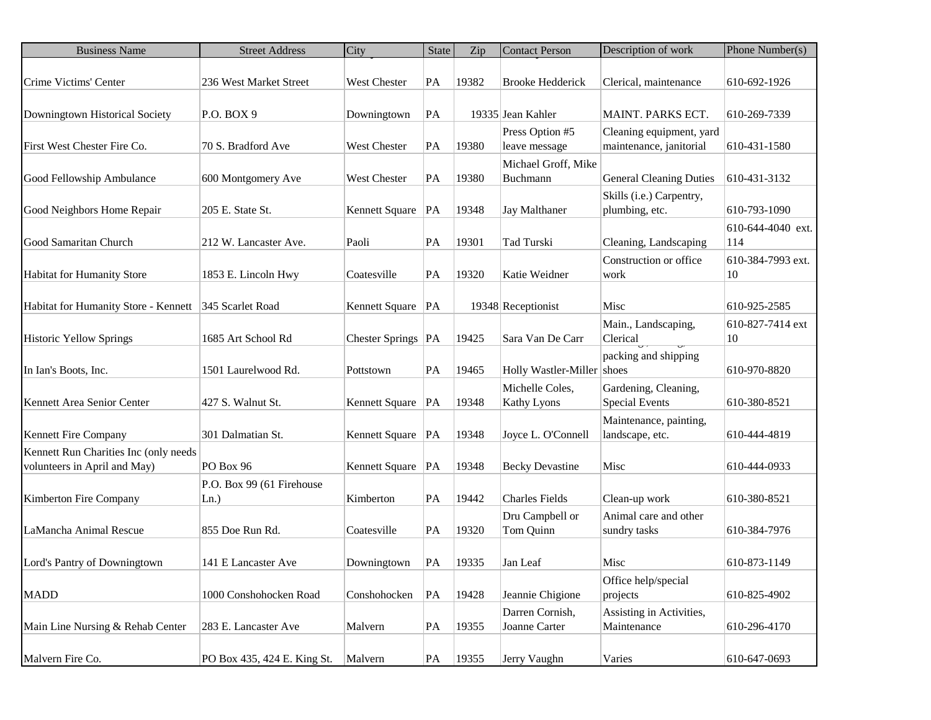| <b>Business Name</b>                  | <b>Street Address</b>       | City                 | <b>State</b> | Zip   | <b>Contact Person</b>      | Description of work            | Phone Number(s)   |
|---------------------------------------|-----------------------------|----------------------|--------------|-------|----------------------------|--------------------------------|-------------------|
| Crime Victims' Center                 | 236 West Market Street      | <b>West Chester</b>  | PA           | 19382 | <b>Brooke Hedderick</b>    | Clerical, maintenance          | 610-692-1926      |
|                                       |                             |                      |              |       |                            |                                |                   |
| Downingtown Historical Society        | P.O. BOX 9                  | Downingtown          | PA           |       | 19335 Jean Kahler          | MAINT. PARKS ECT.              | 610-269-7339      |
|                                       |                             |                      |              |       | Press Option #5            | Cleaning equipment, yard       |                   |
| First West Chester Fire Co.           | 70 S. Bradford Ave          | West Chester         | PA           | 19380 | leave message              | maintenance, janitorial        | 610-431-1580      |
|                                       |                             |                      |              |       | Michael Groff, Mike        |                                |                   |
| Good Fellowship Ambulance             | 600 Montgomery Ave          | <b>West Chester</b>  | PA           | 19380 | Buchmann                   | <b>General Cleaning Duties</b> | 610-431-3132      |
|                                       |                             |                      |              |       |                            | Skills (i.e.) Carpentry,       |                   |
| Good Neighbors Home Repair            | 205 E. State St.            | Kennett Square   PA  |              | 19348 | Jay Malthaner              | plumbing, etc.                 | 610-793-1090      |
|                                       |                             |                      |              |       |                            |                                | 610-644-4040 ext. |
| Good Samaritan Church                 | 212 W. Lancaster Ave.       | Paoli                | PA           | 19301 | Tad Turski                 | Cleaning, Landscaping          | 114               |
|                                       |                             |                      |              |       |                            | Construction or office         | 610-384-7993 ext. |
| <b>Habitat for Humanity Store</b>     | 1853 E. Lincoln Hwy         | Coatesville          | PA           | 19320 | Katie Weidner              | work                           | 10                |
|                                       |                             |                      |              |       |                            |                                |                   |
| Habitat for Humanity Store - Kennett  | 345 Scarlet Road            | Kennett Square   PA  |              |       | 19348 Receptionist         | Misc                           | 610-925-2585      |
|                                       |                             |                      |              |       |                            | Main., Landscaping,            | 610-827-7414 ext  |
| Historic Yellow Springs               | 1685 Art School Rd          | Chester Springs   PA |              | 19425 | Sara Van De Carr           | Clerical                       | 10                |
|                                       |                             |                      |              |       |                            | packing and shipping           |                   |
| In Ian's Boots, Inc.                  | 1501 Laurelwood Rd.         | Pottstown            | PA           | 19465 | Holly Wastler-Miller shoes |                                | 610-970-8820      |
|                                       |                             |                      |              |       | Michelle Coles,            | Gardening, Cleaning,           |                   |
| Kennett Area Senior Center            | 427 S. Walnut St.           | Kennett Square   PA  |              | 19348 | <b>Kathy Lyons</b>         | <b>Special Events</b>          | 610-380-8521      |
|                                       |                             |                      |              |       |                            | Maintenance, painting,         |                   |
| Kennett Fire Company                  | 301 Dalmatian St.           | Kennett Square   PA  |              | 19348 | Joyce L. O'Connell         | landscape, etc.                | 610-444-4819      |
| Kennett Run Charities Inc (only needs |                             |                      |              |       |                            |                                |                   |
| volunteers in April and May)          | PO Box 96                   | Kennett Square   PA  |              | 19348 | <b>Becky Devastine</b>     | Misc                           | 610-444-0933      |
|                                       | P.O. Box 99 (61 Firehouse   |                      |              |       |                            |                                |                   |
| Kimberton Fire Company                | $Ln.$ )                     | Kimberton            | PA           | 19442 | <b>Charles Fields</b>      | Clean-up work                  | 610-380-8521      |
|                                       |                             |                      |              |       | Dru Campbell or            | Animal care and other          |                   |
| LaMancha Animal Rescue                | 855 Doe Run Rd.             | Coatesville          | PA           | 19320 | Tom Quinn                  | sundry tasks                   | 610-384-7976      |
|                                       |                             |                      |              |       |                            |                                |                   |
| Lord's Pantry of Downingtown          | 141 E Lancaster Ave         | Downingtown          | PA           | 19335 | Jan Leaf                   | Misc                           | 610-873-1149      |
|                                       |                             |                      |              |       |                            | Office help/special            |                   |
| <b>MADD</b>                           | 1000 Conshohocken Road      | Conshohocken         | PA           | 19428 | Jeannie Chigione           | projects                       | 610-825-4902      |
|                                       |                             |                      |              |       | Darren Cornish,            | Assisting in Activities,       |                   |
| Main Line Nursing & Rehab Center      | 283 E. Lancaster Ave        | Malvern              | PA           | 19355 | Joanne Carter              | Maintenance                    | 610-296-4170      |
|                                       |                             |                      |              |       |                            |                                |                   |
| Malvern Fire Co.                      | PO Box 435, 424 E. King St. | Malvern              | PA           | 19355 | Jerry Vaughn               | Varies                         | 610-647-0693      |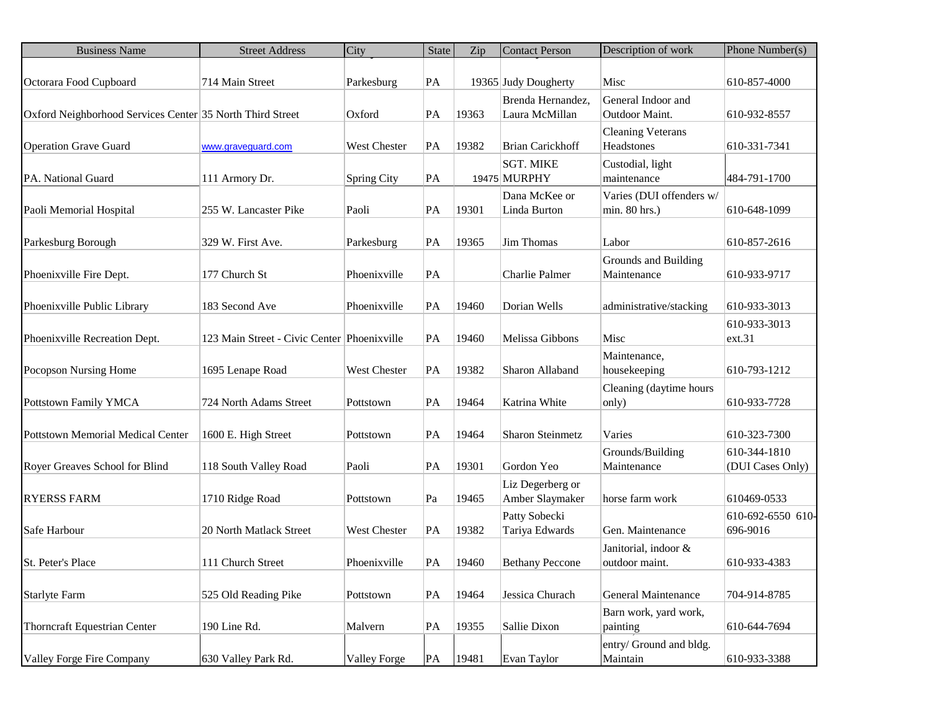| <b>Business Name</b>                                      | <b>Street Address</b>                       | City                | State | Zip   | <b>Contact Person</b>               | Description of work                       | Phone Number(s)                  |
|-----------------------------------------------------------|---------------------------------------------|---------------------|-------|-------|-------------------------------------|-------------------------------------------|----------------------------------|
| Octorara Food Cupboard                                    | 714 Main Street                             | Parkesburg          | PA    |       | 19365 Judy Dougherty                | Misc                                      | 610-857-4000                     |
| Oxford Neighborhood Services Center 35 North Third Street |                                             | Oxford              | PA    | 19363 | Brenda Hernandez,<br>Laura McMillan | General Indoor and<br>Outdoor Maint.      | 610-932-8557                     |
| <b>Operation Grave Guard</b>                              | www.graveguard.com                          | West Chester        | PA    | 19382 | <b>Brian Carickhoff</b>             | <b>Cleaning Veterans</b><br>Headstones    | 610-331-7341                     |
| PA. National Guard                                        | 111 Armory Dr.                              | <b>Spring City</b>  | PA    |       | <b>SGT. MIKE</b><br>19475 MURPHY    | Custodial, light<br>maintenance           | 484-791-1700                     |
| Paoli Memorial Hospital                                   | 255 W. Lancaster Pike                       | Paoli               | PA    | 19301 | Dana McKee or<br>Linda Burton       | Varies (DUI offenders w/<br>min. 80 hrs.) | 610-648-1099                     |
| Parkesburg Borough                                        | 329 W. First Ave.                           | Parkesburg          | PA    | 19365 | Jim Thomas                          | Labor                                     | 610-857-2616                     |
| Phoenixville Fire Dept.                                   | 177 Church St                               | Phoenixville        | PA    |       | Charlie Palmer                      | Grounds and Building<br>Maintenance       | 610-933-9717                     |
| Phoenixville Public Library                               | 183 Second Ave                              | Phoenixville        | PA    | 19460 | Dorian Wells                        | administrative/stacking                   | 610-933-3013                     |
| Phoenixville Recreation Dept.                             | 123 Main Street - Civic Center Phoenixville |                     | PA    | 19460 | Melissa Gibbons                     | Misc                                      | 610-933-3013<br>ext.31           |
| Pocopson Nursing Home                                     | 1695 Lenape Road                            | West Chester        | PA    | 19382 | Sharon Allaband                     | Maintenance,<br>housekeeping              | 610-793-1212                     |
| Pottstown Family YMCA                                     | 724 North Adams Street                      | Pottstown           | PA    | 19464 | Katrina White                       | Cleaning (daytime hours<br>only)          | 610-933-7728                     |
| Pottstown Memorial Medical Center                         | 1600 E. High Street                         | Pottstown           | PA    | 19464 | <b>Sharon Steinmetz</b>             | Varies                                    | 610-323-7300                     |
| Royer Greaves School for Blind                            | 118 South Valley Road                       | Paoli               | PA    | 19301 | Gordon Yeo                          | Grounds/Building<br>Maintenance           | 610-344-1810<br>(DUI Cases Only) |
| <b>RYERSS FARM</b>                                        | 1710 Ridge Road                             | Pottstown           | Pa    | 19465 | Liz Degerberg or<br>Amber Slaymaker | horse farm work                           | 610469-0533                      |
| Safe Harbour                                              | 20 North Matlack Street                     | <b>West Chester</b> | PA    | 19382 | Patty Sobecki<br>Tariya Edwards     | Gen. Maintenance                          | 610-692-6550 610-<br>696-9016    |
| <b>St. Peter's Place</b>                                  | 111 Church Street                           | Phoenixville        | PA    | 19460 | <b>Bethany Peccone</b>              | Janitorial, indoor &<br>outdoor maint.    | 610-933-4383                     |
| <b>Starlyte Farm</b>                                      | 525 Old Reading Pike                        | Pottstown           | PA    | 19464 | Jessica Churach                     | <b>General Maintenance</b>                | 704-914-8785                     |
| <b>Thorncraft Equestrian Center</b>                       | 190 Line Rd.                                | Malvern             | PA    | 19355 | Sallie Dixon                        | Barn work, yard work,<br>painting         | 610-644-7694                     |
| Valley Forge Fire Company                                 | 630 Valley Park Rd.                         | <b>Valley Forge</b> | PA    | 19481 | Evan Taylor                         | entry/ Ground and bldg.<br>Maintain       | 610-933-3388                     |